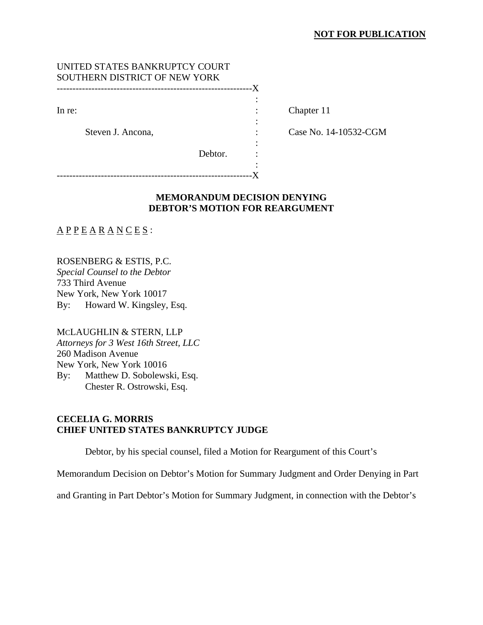## **NOT FOR PUBLICATION**

# UNITED STATES BANKRUPTCY COURT SOUTHERN DISTRICT OF NEW YORK

--------------------------------------------------------------X the contract of the contract of the contract of the contract of the contract of

the contract of the contract of the contract of the contract of the contract of

the contract of the contract of the contract of the contract of the contract of

In re: Chapter 11

Steven J. Ancona, The Case No. 14-10532-CGM

Debtor. :

the contract of the contract of the contract of the contract of the contract of --------------------------------------------------------------X

# **MEMORANDUM DECISION DENYING DEBTOR'S MOTION FOR REARGUMENT**

 $\underline{A} \underline{P} \underline{P} \underline{E} \underline{A} \underline{R} \underline{A} \underline{N} \underline{C} \underline{E} \underline{S}$ :

ROSENBERG & ESTIS, P.C. *Special Counsel to the Debtor*  733 Third Avenue New York, New York 10017 By: Howard W. Kingsley, Esq.

MCLAUGHLIN & STERN, LLP *Attorneys for 3 West 16th Street, LLC*  260 Madison Avenue New York, New York 10016 By: Matthew D. Sobolewski, Esq. Chester R. Ostrowski, Esq.

## **CECELIA G. MORRIS CHIEF UNITED STATES BANKRUPTCY JUDGE**

Debtor, by his special counsel, filed a Motion for Reargument of this Court's

Memorandum Decision on Debtor's Motion for Summary Judgment and Order Denying in Part

and Granting in Part Debtor's Motion for Summary Judgment, in connection with the Debtor's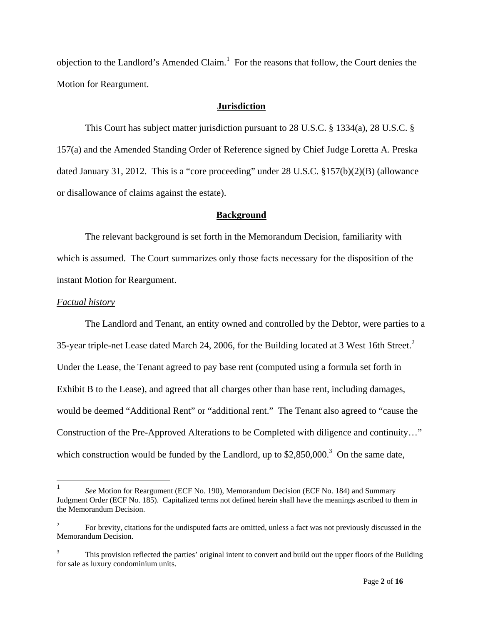objection to the Landlord's Amended Claim.<sup>1</sup> For the reasons that follow, the Court denies the Motion for Reargument.

### **Jurisdiction**

This Court has subject matter jurisdiction pursuant to 28 U.S.C. § 1334(a), 28 U.S.C. § 157(a) and the Amended Standing Order of Reference signed by Chief Judge Loretta A. Preska dated January 31, 2012. This is a "core proceeding" under 28 U.S.C. §157(b)(2)(B) (allowance or disallowance of claims against the estate).

### **Background**

 The relevant background is set forth in the Memorandum Decision, familiarity with which is assumed. The Court summarizes only those facts necessary for the disposition of the instant Motion for Reargument.

#### *Factual history*

The Landlord and Tenant, an entity owned and controlled by the Debtor, were parties to a 35-year triple-net Lease dated March 24, 2006, for the Building located at 3 West 16th Street.<sup>2</sup> Under the Lease, the Tenant agreed to pay base rent (computed using a formula set forth in Exhibit B to the Lease), and agreed that all charges other than base rent, including damages, would be deemed "Additional Rent" or "additional rent." The Tenant also agreed to "cause the Construction of the Pre-Approved Alterations to be Completed with diligence and continuity…" which construction would be funded by the Landlord, up to  $$2,850,000.<sup>3</sup>$  On the same date,

 $\frac{1}{1}$  *See* Motion for Reargument (ECF No. 190), Memorandum Decision (ECF No. 184) and Summary Judgment Order (ECF No. 185). Capitalized terms not defined herein shall have the meanings ascribed to them in the Memorandum Decision.

<sup>2</sup> For brevity, citations for the undisputed facts are omitted, unless a fact was not previously discussed in the Memorandum Decision.

<sup>3</sup> This provision reflected the parties' original intent to convert and build out the upper floors of the Building for sale as luxury condominium units.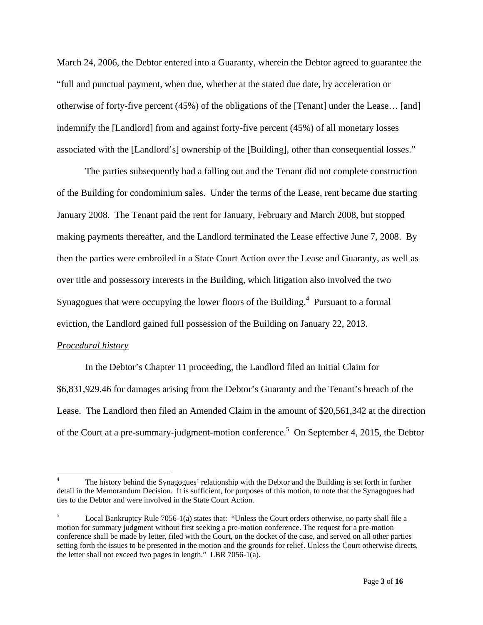March 24, 2006, the Debtor entered into a Guaranty, wherein the Debtor agreed to guarantee the "full and punctual payment, when due, whether at the stated due date, by acceleration or otherwise of forty-five percent (45%) of the obligations of the [Tenant] under the Lease… [and] indemnify the [Landlord] from and against forty-five percent (45%) of all monetary losses associated with the [Landlord's] ownership of the [Building], other than consequential losses."

 The parties subsequently had a falling out and the Tenant did not complete construction of the Building for condominium sales. Under the terms of the Lease, rent became due starting January 2008. The Tenant paid the rent for January, February and March 2008, but stopped making payments thereafter, and the Landlord terminated the Lease effective June 7, 2008. By then the parties were embroiled in a State Court Action over the Lease and Guaranty, as well as over title and possessory interests in the Building, which litigation also involved the two Synagogues that were occupying the lower floors of the Building.<sup>4</sup> Pursuant to a formal eviction, the Landlord gained full possession of the Building on January 22, 2013.

### *Procedural history*

 $\overline{a}$ 

In the Debtor's Chapter 11 proceeding, the Landlord filed an Initial Claim for \$6,831,929.46 for damages arising from the Debtor's Guaranty and the Tenant's breach of the Lease. The Landlord then filed an Amended Claim in the amount of \$20,561,342 at the direction of the Court at a pre-summary-judgment-motion conference.<sup>5</sup> On September 4, 2015, the Debtor

<sup>4</sup> The history behind the Synagogues' relationship with the Debtor and the Building is set forth in further detail in the Memorandum Decision. It is sufficient, for purposes of this motion, to note that the Synagogues had ties to the Debtor and were involved in the State Court Action.

<sup>5</sup> Local Bankruptcy Rule 7056-1(a) states that: "Unless the Court orders otherwise, no party shall file a motion for summary judgment without first seeking a pre-motion conference. The request for a pre-motion conference shall be made by letter, filed with the Court, on the docket of the case, and served on all other parties setting forth the issues to be presented in the motion and the grounds for relief. Unless the Court otherwise directs, the letter shall not exceed two pages in length." LBR 7056-1(a).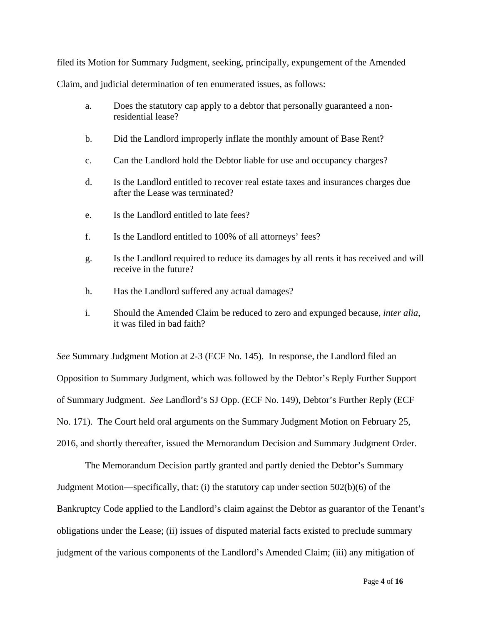filed its Motion for Summary Judgment, seeking, principally, expungement of the Amended

Claim, and judicial determination of ten enumerated issues, as follows:

- a. Does the statutory cap apply to a debtor that personally guaranteed a nonresidential lease?
- b. Did the Landlord improperly inflate the monthly amount of Base Rent?
- c. Can the Landlord hold the Debtor liable for use and occupancy charges?
- d. Is the Landlord entitled to recover real estate taxes and insurances charges due after the Lease was terminated?
- e. Is the Landlord entitled to late fees?
- f. Is the Landlord entitled to 100% of all attorneys' fees?
- g. Is the Landlord required to reduce its damages by all rents it has received and will receive in the future?
- h. Has the Landlord suffered any actual damages?
- i. Should the Amended Claim be reduced to zero and expunged because, *inter alia*, it was filed in bad faith?

*See* Summary Judgment Motion at 2-3 (ECF No. 145). In response, the Landlord filed an Opposition to Summary Judgment, which was followed by the Debtor's Reply Further Support of Summary Judgment. *See* Landlord's SJ Opp. (ECF No. 149), Debtor's Further Reply (ECF No. 171). The Court held oral arguments on the Summary Judgment Motion on February 25, 2016, and shortly thereafter, issued the Memorandum Decision and Summary Judgment Order.

 The Memorandum Decision partly granted and partly denied the Debtor's Summary Judgment Motion—specifically, that: (i) the statutory cap under section 502(b)(6) of the Bankruptcy Code applied to the Landlord's claim against the Debtor as guarantor of the Tenant's obligations under the Lease; (ii) issues of disputed material facts existed to preclude summary judgment of the various components of the Landlord's Amended Claim; (iii) any mitigation of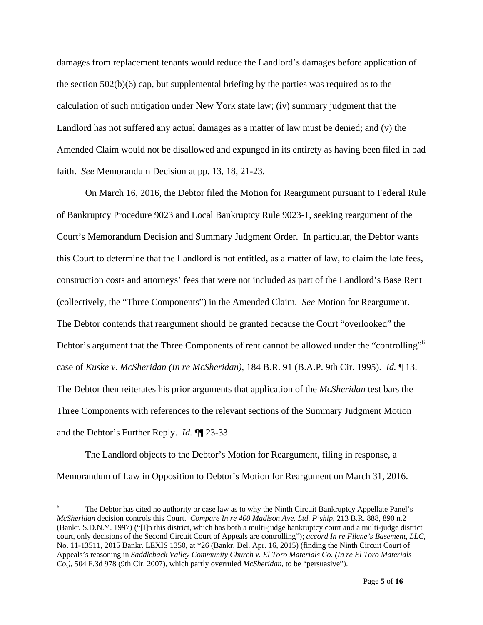damages from replacement tenants would reduce the Landlord's damages before application of the section  $502(b)(6)$  cap, but supplemental briefing by the parties was required as to the calculation of such mitigation under New York state law; (iv) summary judgment that the Landlord has not suffered any actual damages as a matter of law must be denied; and (v) the Amended Claim would not be disallowed and expunged in its entirety as having been filed in bad faith. *See* Memorandum Decision at pp. 13, 18, 21-23.

On March 16, 2016, the Debtor filed the Motion for Reargument pursuant to Federal Rule of Bankruptcy Procedure 9023 and Local Bankruptcy Rule 9023-1, seeking reargument of the Court's Memorandum Decision and Summary Judgment Order. In particular, the Debtor wants this Court to determine that the Landlord is not entitled, as a matter of law, to claim the late fees, construction costs and attorneys' fees that were not included as part of the Landlord's Base Rent (collectively, the "Three Components") in the Amended Claim. *See* Motion for Reargument. The Debtor contends that reargument should be granted because the Court "overlooked" the Debtor's argument that the Three Components of rent cannot be allowed under the "controlling"<sup>6</sup> case of *Kuske v. McSheridan (In re McSheridan)*, 184 B.R. 91 (B.A.P. 9th Cir. 1995). *Id.* ¶ 13. The Debtor then reiterates his prior arguments that application of the *McSheridan* test bars the Three Components with references to the relevant sections of the Summary Judgment Motion and the Debtor's Further Reply. *Id.* ¶¶ 23-33.

The Landlord objects to the Debtor's Motion for Reargument, filing in response, a Memorandum of Law in Opposition to Debtor's Motion for Reargument on March 31, 2016.

<u>.</u>

<sup>6</sup> The Debtor has cited no authority or case law as to why the Ninth Circuit Bankruptcy Appellate Panel's *McSheridan* decision controls this Court. *Compare In re 400 Madison Ave. Ltd. P'ship*, 213 B.R. 888, 890 n.2 (Bankr. S.D.N.Y. 1997) ("[I]n this district, which has both a multi-judge bankruptcy court and a multi-judge district court, only decisions of the Second Circuit Court of Appeals are controlling"); *accord In re Filene's Basement, LLC*, No. 11-13511, 2015 Bankr. LEXIS 1350, at \*26 (Bankr. Del. Apr. 16, 2015) (finding the Ninth Circuit Court of Appeals's reasoning in *Saddleback Valley Community Church v. El Toro Materials Co. (In re El Toro Materials Co.)*, 504 F.3d 978 (9th Cir. 2007), which partly overruled *McSheridan*, to be "persuasive").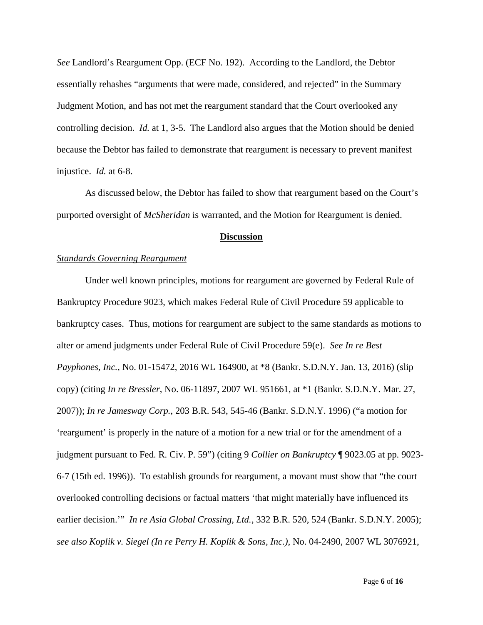*See* Landlord's Reargument Opp. (ECF No. 192). According to the Landlord, the Debtor essentially rehashes "arguments that were made, considered, and rejected" in the Summary Judgment Motion, and has not met the reargument standard that the Court overlooked any controlling decision. *Id.* at 1, 3-5. The Landlord also argues that the Motion should be denied because the Debtor has failed to demonstrate that reargument is necessary to prevent manifest injustice. *Id.* at 6-8.

As discussed below, the Debtor has failed to show that reargument based on the Court's purported oversight of *McSheridan* is warranted, and the Motion for Reargument is denied.

#### **Discussion**

#### *Standards Governing Reargument*

Under well known principles, motions for reargument are governed by Federal Rule of Bankruptcy Procedure 9023, which makes Federal Rule of Civil Procedure 59 applicable to bankruptcy cases. Thus, motions for reargument are subject to the same standards as motions to alter or amend judgments under Federal Rule of Civil Procedure 59(e). *See In re Best Payphones, Inc.*, No. 01-15472, 2016 WL 164900, at \*8 (Bankr. S.D.N.Y. Jan. 13, 2016) (slip copy) (citing *In re Bressler*, No. 06-11897, 2007 WL 951661, at \*1 (Bankr. S.D.N.Y. Mar. 27, 2007)); *In re Jamesway Corp.*, 203 B.R. 543, 545-46 (Bankr. S.D.N.Y. 1996) ("a motion for 'reargument' is properly in the nature of a motion for a new trial or for the amendment of a judgment pursuant to Fed. R. Civ. P. 59") (citing 9 *Collier on Bankruptcy* ¶ 9023.05 at pp. 9023- 6-7 (15th ed. 1996)). To establish grounds for reargument, a movant must show that "the court overlooked controlling decisions or factual matters 'that might materially have influenced its earlier decision.'" *In re Asia Global Crossing, Ltd.*, 332 B.R. 520, 524 (Bankr. S.D.N.Y. 2005); *see also Koplik v. Siegel (In re Perry H. Koplik & Sons, Inc.)*, No. 04-2490, 2007 WL 3076921,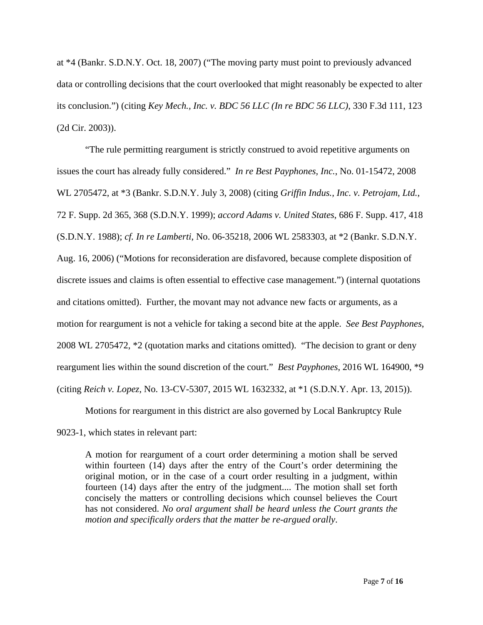at \*4 (Bankr. S.D.N.Y. Oct. 18, 2007) ("The moving party must point to previously advanced data or controlling decisions that the court overlooked that might reasonably be expected to alter its conclusion.") (citing *Key Mech., Inc. v. BDC 56 LLC (In re BDC 56 LLC)*, 330 F.3d 111, 123 (2d Cir. 2003)).

"The rule permitting reargument is strictly construed to avoid repetitive arguments on issues the court has already fully considered." *In re Best Payphones, Inc.*, No. 01-15472, 2008 WL 2705472, at \*3 (Bankr. S.D.N.Y. July 3, 2008) (citing *Griffin Indus., Inc. v. Petrojam, Ltd.*, 72 F. Supp. 2d 365, 368 (S.D.N.Y. 1999); *accord Adams v. United States*, 686 F. Supp. 417, 418 (S.D.N.Y. 1988); *cf. In re Lamberti*, No. 06-35218, 2006 WL 2583303, at \*2 (Bankr. S.D.N.Y. Aug. 16, 2006) ("Motions for reconsideration are disfavored, because complete disposition of discrete issues and claims is often essential to effective case management.") (internal quotations and citations omitted). Further, the movant may not advance new facts or arguments, as a motion for reargument is not a vehicle for taking a second bite at the apple. *See Best Payphones*, 2008 WL 2705472, \*2 (quotation marks and citations omitted). "The decision to grant or deny reargument lies within the sound discretion of the court." *Best Payphones*, 2016 WL 164900, \*9 (citing *Reich v. Lopez*, No. 13-CV-5307, 2015 WL 1632332, at \*1 (S.D.N.Y. Apr. 13, 2015)).

Motions for reargument in this district are also governed by Local Bankruptcy Rule

9023-1, which states in relevant part:

A motion for reargument of a court order determining a motion shall be served within fourteen (14) days after the entry of the Court's order determining the original motion, or in the case of a court order resulting in a judgment, within fourteen (14) days after the entry of the judgment.... The motion shall set forth concisely the matters or controlling decisions which counsel believes the Court has not considered. *No oral argument shall be heard unless the Court grants the motion and specifically orders that the matter be re-argued orally*.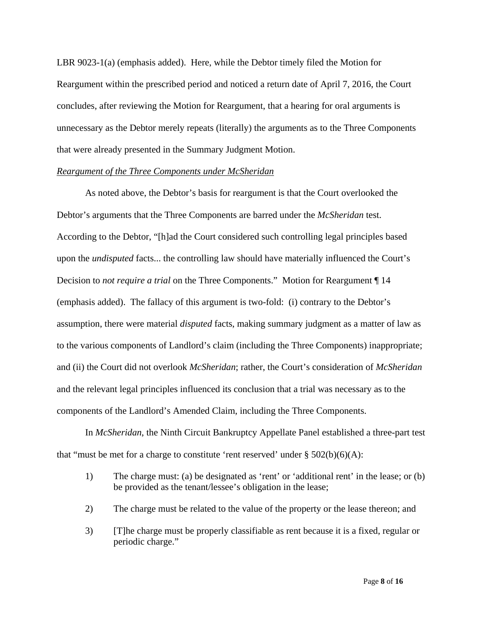LBR 9023-1(a) (emphasis added). Here, while the Debtor timely filed the Motion for Reargument within the prescribed period and noticed a return date of April 7, 2016, the Court concludes, after reviewing the Motion for Reargument, that a hearing for oral arguments is unnecessary as the Debtor merely repeats (literally) the arguments as to the Three Components that were already presented in the Summary Judgment Motion.

#### *Reargument of the Three Components under McSheridan*

As noted above, the Debtor's basis for reargument is that the Court overlooked the Debtor's arguments that the Three Components are barred under the *McSheridan* test. According to the Debtor, "[h]ad the Court considered such controlling legal principles based upon the *undisputed* facts... the controlling law should have materially influenced the Court's Decision to *not require a trial* on the Three Components." Motion for Reargument ¶ 14 (emphasis added). The fallacy of this argument is two-fold: (i) contrary to the Debtor's assumption, there were material *disputed* facts, making summary judgment as a matter of law as to the various components of Landlord's claim (including the Three Components) inappropriate; and (ii) the Court did not overlook *McSheridan*; rather, the Court's consideration of *McSheridan* and the relevant legal principles influenced its conclusion that a trial was necessary as to the components of the Landlord's Amended Claim, including the Three Components.

In *McSheridan*, the Ninth Circuit Bankruptcy Appellate Panel established a three-part test that "must be met for a charge to constitute 'rent reserved' under  $\S 502(b)(6)(A)$ :

- 1) The charge must: (a) be designated as 'rent' or 'additional rent' in the lease; or (b) be provided as the tenant/lessee's obligation in the lease;
- 2) The charge must be related to the value of the property or the lease thereon; and
- 3) [T]he charge must be properly classifiable as rent because it is a fixed, regular or periodic charge."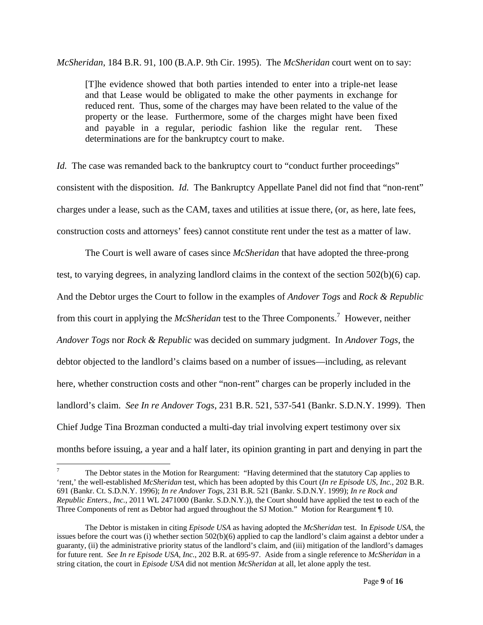*McSheridan*, 184 B.R. 91, 100 (B.A.P. 9th Cir. 1995). The *McSheridan* court went on to say:

[T]he evidence showed that both parties intended to enter into a triple-net lease and that Lease would be obligated to make the other payments in exchange for reduced rent. Thus, some of the charges may have been related to the value of the property or the lease. Furthermore, some of the charges might have been fixed and payable in a regular, periodic fashion like the regular rent. These determinations are for the bankruptcy court to make.

*Id.* The case was remanded back to the bankruptcy court to "conduct further proceedings" consistent with the disposition. *Id.* The Bankruptcy Appellate Panel did not find that "non-rent" charges under a lease, such as the CAM, taxes and utilities at issue there, (or, as here, late fees, construction costs and attorneys' fees) cannot constitute rent under the test as a matter of law.

 The Court is well aware of cases since *McSheridan* that have adopted the three-prong test, to varying degrees, in analyzing landlord claims in the context of the section 502(b)(6) cap. And the Debtor urges the Court to follow in the examples of *Andover Togs* and *Rock & Republic* from this court in applying the *McSheridan* test to the Three Components.<sup>7</sup> However, neither *Andover Togs* nor *Rock & Republic* was decided on summary judgment. In *Andover Togs*, the debtor objected to the landlord's claims based on a number of issues—including, as relevant here, whether construction costs and other "non-rent" charges can be properly included in the landlord's claim. *See In re Andover Togs*, 231 B.R. 521, 537-541 (Bankr. S.D.N.Y. 1999). Then Chief Judge Tina Brozman conducted a multi-day trial involving expert testimony over six months before issuing, a year and a half later, its opinion granting in part and denying in part the

 $\overline{a}$ 

<sup>7</sup> The Debtor states in the Motion for Reargument: "Having determined that the statutory Cap applies to 'rent,' the well-established *McSheridan* test, which has been adopted by this Court (*In re Episode US, Inc.*, 202 B.R. 691 (Bankr. Ct. S.D.N.Y. 1996); *In re Andover Togs*, 231 B.R. 521 (Bankr. S.D.N.Y. 1999); *In re Rock and Republic Enters., Inc.*, 2011 WL 2471000 (Bankr. S.D.N.Y.)), the Court should have applied the test to each of the Three Components of rent as Debtor had argued throughout the SJ Motion." Motion for Reargument ¶ 10.

The Debtor is mistaken in citing *Episode USA* as having adopted the *McSheridan* test. In *Episode USA*, the issues before the court was (i) whether section 502(b)(6) applied to cap the landlord's claim against a debtor under a guaranty, (ii) the administrative priority status of the landlord's claim, and (iii) mitigation of the landlord's damages for future rent. *See In re Episode USA, Inc.*, 202 B.R. at 695-97. Aside from a single reference to *McSheridan* in a string citation, the court in *Episode USA* did not mention *McSheridan* at all, let alone apply the test.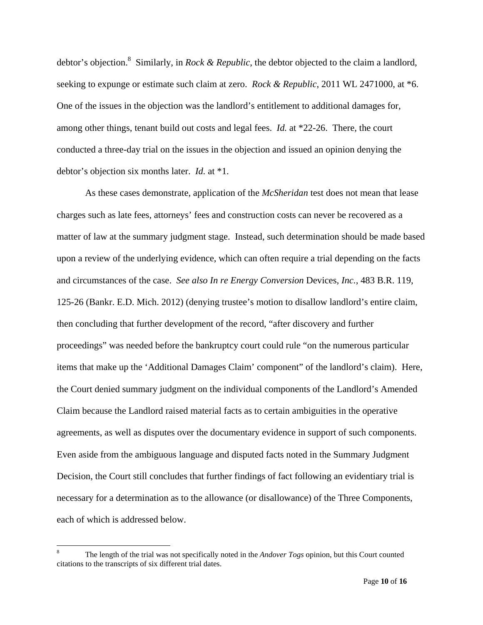debtor's objection.8 Similarly, in *Rock & Republic*, the debtor objected to the claim a landlord, seeking to expunge or estimate such claim at zero. *Rock & Republic*, 2011 WL 2471000, at \*6. One of the issues in the objection was the landlord's entitlement to additional damages for, among other things, tenant build out costs and legal fees. *Id.* at \*22-26. There, the court conducted a three-day trial on the issues in the objection and issued an opinion denying the debtor's objection six months later. *Id.* at \*1.

 As these cases demonstrate, application of the *McSheridan* test does not mean that lease charges such as late fees, attorneys' fees and construction costs can never be recovered as a matter of law at the summary judgment stage. Instead, such determination should be made based upon a review of the underlying evidence, which can often require a trial depending on the facts and circumstances of the case. *See also In re Energy Conversion* Devices*, Inc.*, 483 B.R. 119, 125-26 (Bankr. E.D. Mich. 2012) (denying trustee's motion to disallow landlord's entire claim, then concluding that further development of the record, "after discovery and further proceedings" was needed before the bankruptcy court could rule "on the numerous particular items that make up the 'Additional Damages Claim' component" of the landlord's claim). Here, the Court denied summary judgment on the individual components of the Landlord's Amended Claim because the Landlord raised material facts as to certain ambiguities in the operative agreements, as well as disputes over the documentary evidence in support of such components. Even aside from the ambiguous language and disputed facts noted in the Summary Judgment Decision, the Court still concludes that further findings of fact following an evidentiary trial is necessary for a determination as to the allowance (or disallowance) of the Three Components, each of which is addressed below.

 $\overline{a}$ 

<sup>8</sup> The length of the trial was not specifically noted in the *Andover Togs* opinion, but this Court counted citations to the transcripts of six different trial dates.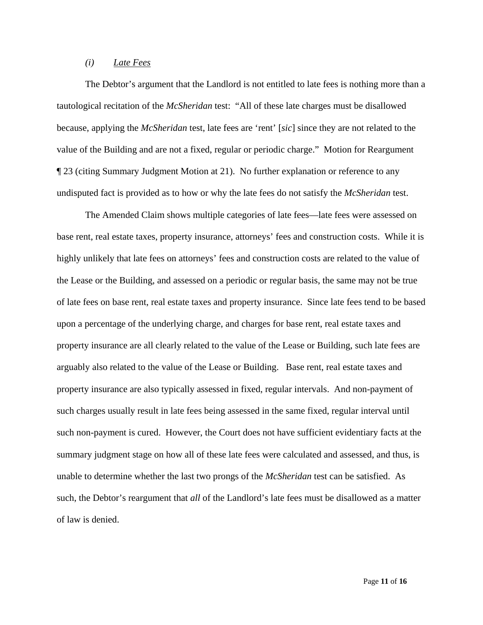### *(i) Late Fees*

 The Debtor's argument that the Landlord is not entitled to late fees is nothing more than a tautological recitation of the *McSheridan* test: "All of these late charges must be disallowed because, applying the *McSheridan* test, late fees are 'rent' [*sic*] since they are not related to the value of the Building and are not a fixed, regular or periodic charge." Motion for Reargument ¶ 23 (citing Summary Judgment Motion at 21). No further explanation or reference to any undisputed fact is provided as to how or why the late fees do not satisfy the *McSheridan* test.

The Amended Claim shows multiple categories of late fees—late fees were assessed on base rent, real estate taxes, property insurance, attorneys' fees and construction costs. While it is highly unlikely that late fees on attorneys' fees and construction costs are related to the value of the Lease or the Building, and assessed on a periodic or regular basis, the same may not be true of late fees on base rent, real estate taxes and property insurance. Since late fees tend to be based upon a percentage of the underlying charge, and charges for base rent, real estate taxes and property insurance are all clearly related to the value of the Lease or Building, such late fees are arguably also related to the value of the Lease or Building. Base rent, real estate taxes and property insurance are also typically assessed in fixed, regular intervals. And non-payment of such charges usually result in late fees being assessed in the same fixed, regular interval until such non-payment is cured. However, the Court does not have sufficient evidentiary facts at the summary judgment stage on how all of these late fees were calculated and assessed, and thus, is unable to determine whether the last two prongs of the *McSheridan* test can be satisfied. As such, the Debtor's reargument that *all* of the Landlord's late fees must be disallowed as a matter of law is denied.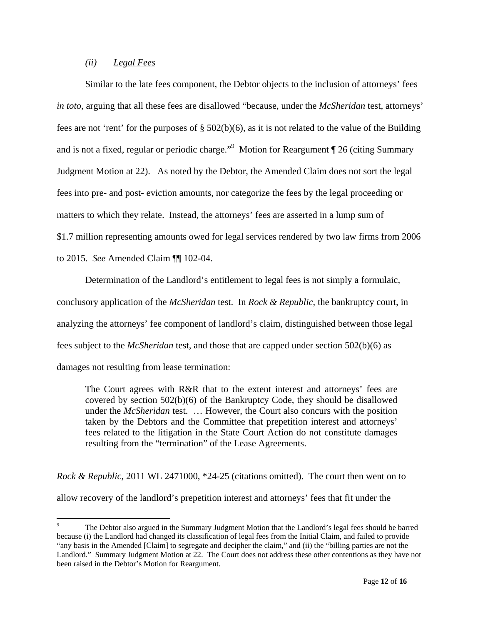# *(ii) Legal Fees*

 $\overline{a}$ 

 Similar to the late fees component, the Debtor objects to the inclusion of attorneys' fees *in toto*, arguing that all these fees are disallowed "because, under the *McSheridan* test, attorneys' fees are not 'rent' for the purposes of  $\S 502(b)(6)$ , as it is not related to the value of the Building and is not a fixed, regular or periodic charge."<sup>9</sup> Motion for Reargument ¶ 26 (citing Summary Judgment Motion at 22). As noted by the Debtor, the Amended Claim does not sort the legal fees into pre- and post- eviction amounts, nor categorize the fees by the legal proceeding or matters to which they relate. Instead, the attorneys' fees are asserted in a lump sum of \$1.7 million representing amounts owed for legal services rendered by two law firms from 2006 to 2015. *See* Amended Claim ¶¶ 102-04.

 Determination of the Landlord's entitlement to legal fees is not simply a formulaic, conclusory application of the *McSheridan* test. In *Rock & Republic*, the bankruptcy court, in analyzing the attorneys' fee component of landlord's claim, distinguished between those legal fees subject to the *McSheridan* test, and those that are capped under section 502(b)(6) as damages not resulting from lease termination:

The Court agrees with R&R that to the extent interest and attorneys' fees are covered by section  $502(b)(6)$  of the Bankruptcy Code, they should be disallowed under the *McSheridan* test. … However, the Court also concurs with the position taken by the Debtors and the Committee that prepetition interest and attorneys' fees related to the litigation in the State Court Action do not constitute damages resulting from the "termination" of the Lease Agreements.

*Rock & Republic*, 2011 WL 2471000, \*24-25 (citations omitted). The court then went on to allow recovery of the landlord's prepetition interest and attorneys' fees that fit under the

<sup>9</sup> The Debtor also argued in the Summary Judgment Motion that the Landlord's legal fees should be barred because (i) the Landlord had changed its classification of legal fees from the Initial Claim, and failed to provide "any basis in the Amended [Claim] to segregate and decipher the claim," and (ii) the "billing parties are not the Landlord." Summary Judgment Motion at 22. The Court does not address these other contentions as they have not been raised in the Debtor's Motion for Reargument.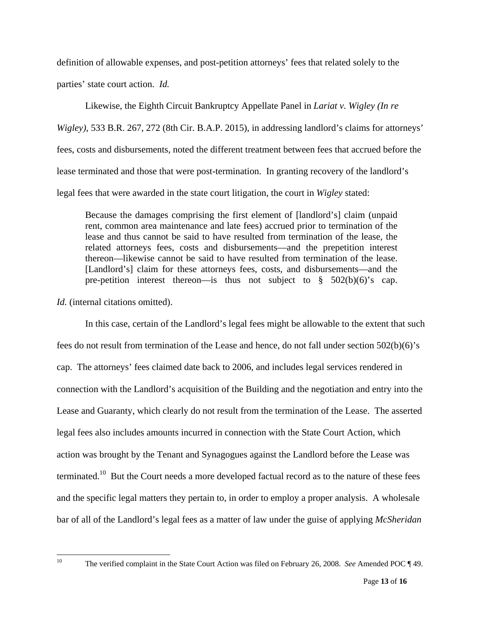definition of allowable expenses, and post-petition attorneys' fees that related solely to the parties' state court action. *Id.*

 Likewise, the Eighth Circuit Bankruptcy Appellate Panel in *Lariat v. Wigley (In re Wigley)*, 533 B.R. 267, 272 (8th Cir. B.A.P. 2015), in addressing landlord's claims for attorneys' fees, costs and disbursements, noted the different treatment between fees that accrued before the lease terminated and those that were post-termination. In granting recovery of the landlord's legal fees that were awarded in the state court litigation, the court in *Wigley* stated:

Because the damages comprising the first element of [landlord's] claim (unpaid rent, common area maintenance and late fees) accrued prior to termination of the lease and thus cannot be said to have resulted from termination of the lease, the related attorneys fees, costs and disbursements—and the prepetition interest thereon—likewise cannot be said to have resulted from termination of the lease. [Landlord's] claim for these attorneys fees, costs, and disbursements—and the pre-petition interest thereon—is thus not subject to  $\S$  502(b)(6)'s cap.

*Id.* (internal citations omitted).

In this case, certain of the Landlord's legal fees might be allowable to the extent that such fees do not result from termination of the Lease and hence, do not fall under section 502(b)(6)'s cap. The attorneys' fees claimed date back to 2006, and includes legal services rendered in connection with the Landlord's acquisition of the Building and the negotiation and entry into the Lease and Guaranty, which clearly do not result from the termination of the Lease. The asserted legal fees also includes amounts incurred in connection with the State Court Action, which action was brought by the Tenant and Synagogues against the Landlord before the Lease was terminated.<sup>10</sup> But the Court needs a more developed factual record as to the nature of these fees and the specific legal matters they pertain to, in order to employ a proper analysis. A wholesale bar of all of the Landlord's legal fees as a matter of law under the guise of applying *McSheridan*

 $10<sup>10</sup>$ 

<sup>10</sup> The verified complaint in the State Court Action was filed on February 26, 2008. *See* Amended POC ¶ 49.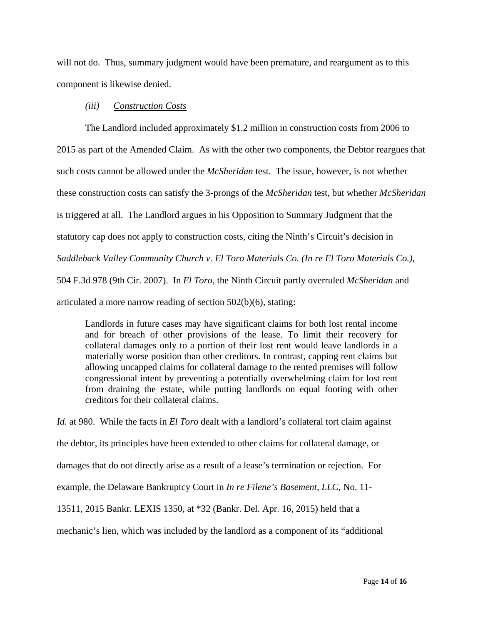will not do. Thus, summary judgment would have been premature, and reargument as to this component is likewise denied.

#### *(iii) Construction Costs*

The Landlord included approximately \$1.2 million in construction costs from 2006 to 2015 as part of the Amended Claim. As with the other two components, the Debtor reargues that such costs cannot be allowed under the *McSheridan* test. The issue, however, is not whether these construction costs can satisfy the 3-prongs of the *McSheridan* test, but whether *McSheridan* is triggered at all. The Landlord argues in his Opposition to Summary Judgment that the statutory cap does not apply to construction costs, citing the Ninth's Circuit's decision in *Saddleback Valley Community Church v. El Toro Materials Co. (In re El Toro Materials Co.)*, 504 F.3d 978 (9th Cir. 2007). In *El Toro*, the Ninth Circuit partly overruled *McSheridan* and articulated a more narrow reading of section 502(b)(6), stating:

Landlords in future cases may have significant claims for both lost rental income and for breach of other provisions of the lease. To limit their recovery for collateral damages only to a portion of their lost rent would leave landlords in a materially worse position than other creditors. In contrast, capping rent claims but allowing uncapped claims for collateral damage to the rented premises will follow congressional intent by preventing a potentially overwhelming claim for lost rent from draining the estate, while putting landlords on equal footing with other creditors for their collateral claims.

*Id.* at 980. While the facts in *El Toro* dealt with a landlord's collateral tort claim against the debtor, its principles have been extended to other claims for collateral damage, or damages that do not directly arise as a result of a lease's termination or rejection. For example, the Delaware Bankruptcy Court in *In re Filene's Basement, LLC*, No. 11- 13511, 2015 Bankr. LEXIS 1350, at \*32 (Bankr. Del. Apr. 16, 2015) held that a mechanic's lien, which was included by the landlord as a component of its "additional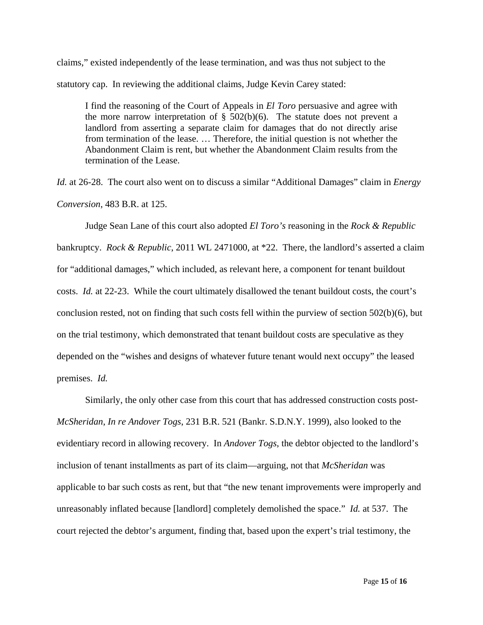claims," existed independently of the lease termination, and was thus not subject to the statutory cap. In reviewing the additional claims, Judge Kevin Carey stated:

I find the reasoning of the Court of Appeals in *El Toro* persuasive and agree with the more narrow interpretation of  $\S$  502(b)(6). The statute does not prevent a landlord from asserting a separate claim for damages that do not directly arise from termination of the lease. … Therefore, the initial question is not whether the Abandonment Claim is rent, but whether the Abandonment Claim results from the termination of the Lease.

*Id.* at 26-28. The court also went on to discuss a similar "Additional Damages" claim in *Energy Conversion*, 483 B.R. at 125.

 Judge Sean Lane of this court also adopted *El Toro's* reasoning in the *Rock & Republic* bankruptcy. *Rock & Republic*, 2011 WL 2471000, at \*22. There, the landlord's asserted a claim for "additional damages," which included, as relevant here, a component for tenant buildout costs. *Id.* at 22-23. While the court ultimately disallowed the tenant buildout costs, the court's conclusion rested, not on finding that such costs fell within the purview of section 502(b)(6), but on the trial testimony, which demonstrated that tenant buildout costs are speculative as they depended on the "wishes and designs of whatever future tenant would next occupy" the leased premises. *Id.*

 Similarly, the only other case from this court that has addressed construction costs post-*McSheridan*, *In re Andover Togs*, 231 B.R. 521 (Bankr. S.D.N.Y. 1999), also looked to the evidentiary record in allowing recovery. In *Andover Togs*, the debtor objected to the landlord's inclusion of tenant installments as part of its claim—arguing, not that *McSheridan* was applicable to bar such costs as rent, but that "the new tenant improvements were improperly and unreasonably inflated because [landlord] completely demolished the space." *Id.* at 537. The court rejected the debtor's argument, finding that, based upon the expert's trial testimony, the